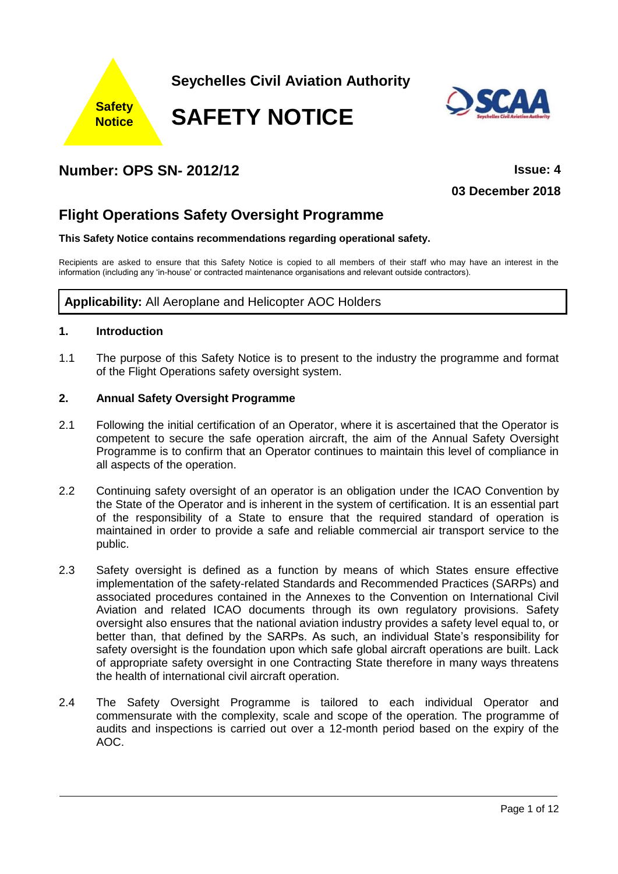

**Seychelles Civil Aviation Authority**

**SAFETY NOTICE**



# **Number: OPS SN- 2012/12 Issue: 4**

**03 December 2018**

# **Flight Operations Safety Oversight Programme**

# **This Safety Notice contains recommendations regarding operational safety.**

Recipients are asked to ensure that this Safety Notice is copied to all members of their staff who may have an interest in the information (including any 'in-house' or contracted maintenance organisations and relevant outside contractors).

# **Applicability:** All Aeroplane and Helicopter AOC Holders

# **1. Introduction**

1.1 The purpose of this Safety Notice is to present to the industry the programme and format of the Flight Operations safety oversight system.

# **2. Annual Safety Oversight Programme**

- 2.1 Following the initial certification of an Operator, where it is ascertained that the Operator is competent to secure the safe operation aircraft, the aim of the Annual Safety Oversight Programme is to confirm that an Operator continues to maintain this level of compliance in all aspects of the operation.
- 2.2 Continuing safety oversight of an operator is an obligation under the ICAO Convention by the State of the Operator and is inherent in the system of certification. It is an essential part of the responsibility of a State to ensure that the required standard of operation is maintained in order to provide a safe and reliable commercial air transport service to the public.
- 2.3 Safety oversight is defined as a function by means of which States ensure effective implementation of the safety-related Standards and Recommended Practices (SARPs) and associated procedures contained in the Annexes to the Convention on International Civil Aviation and related ICAO documents through its own regulatory provisions. Safety oversight also ensures that the national aviation industry provides a safety level equal to, or better than, that defined by the SARPs. As such, an individual State's responsibility for safety oversight is the foundation upon which safe global aircraft operations are built. Lack of appropriate safety oversight in one Contracting State therefore in many ways threatens the health of international civil aircraft operation.
- 2.4 The Safety Oversight Programme is tailored to each individual Operator and commensurate with the complexity, scale and scope of the operation. The programme of audits and inspections is carried out over a 12-month period based on the expiry of the AOC.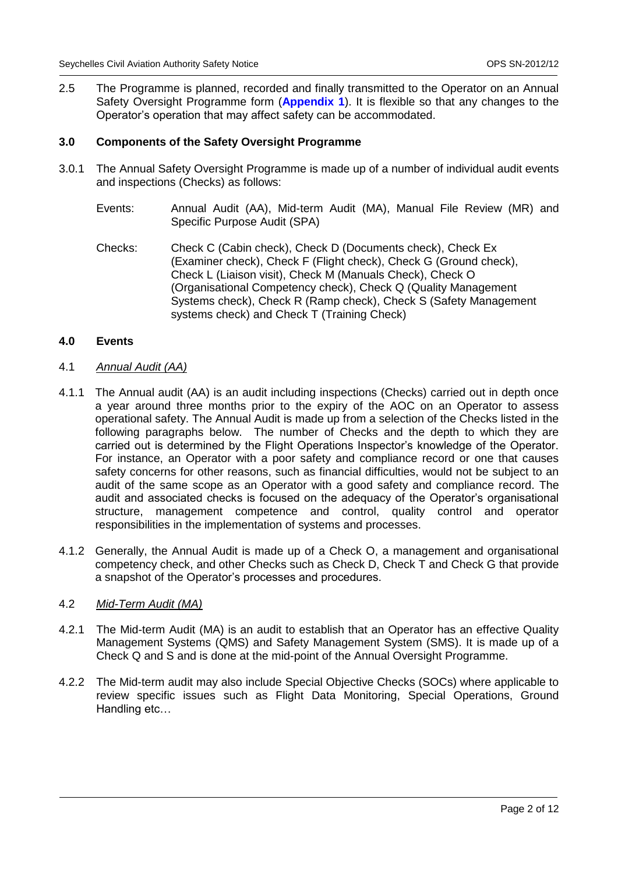2.5 The Programme is planned, recorded and finally transmitted to the Operator on an Annual Safety Oversight Programme form (**Appendix 1**). It is flexible so that any changes to the Operator's operation that may affect safety can be accommodated.

# **3.0 Components of the Safety Oversight Programme**

- 3.0.1 The Annual Safety Oversight Programme is made up of a number of individual audit events and inspections (Checks) as follows:
	- Events: Annual Audit (AA), Mid-term Audit (MA), Manual File Review (MR) and Specific Purpose Audit (SPA)
	- Checks: Check C (Cabin check), Check D (Documents check), Check Ex (Examiner check), Check F (Flight check), Check G (Ground check), Check L (Liaison visit), Check M (Manuals Check), Check O (Organisational Competency check), Check Q (Quality Management Systems check), Check R (Ramp check), Check S (Safety Management systems check) and Check T (Training Check)

#### **4.0 Events**

#### 4.1 *Annual Audit (AA)*

- 4.1.1 The Annual audit (AA) is an audit including inspections (Checks) carried out in depth once a year around three months prior to the expiry of the AOC on an Operator to assess operational safety. The Annual Audit is made up from a selection of the Checks listed in the following paragraphs below. The number of Checks and the depth to which they are carried out is determined by the Flight Operations Inspector's knowledge of the Operator. For instance, an Operator with a poor safety and compliance record or one that causes safety concerns for other reasons, such as financial difficulties, would not be subject to an audit of the same scope as an Operator with a good safety and compliance record. The audit and associated checks is focused on the adequacy of the Operator's organisational structure, management competence and control, quality control and operator responsibilities in the implementation of systems and processes.
- 4.1.2 Generally, the Annual Audit is made up of a Check O, a management and organisational competency check, and other Checks such as Check D, Check T and Check G that provide a snapshot of the Operator's processes and procedures.

#### 4.2 *Mid-Term Audit (MA)*

- 4.2.1 The Mid-term Audit (MA) is an audit to establish that an Operator has an effective Quality Management Systems (QMS) and Safety Management System (SMS). It is made up of a Check Q and S and is done at the mid-point of the Annual Oversight Programme.
- 4.2.2 The Mid-term audit may also include Special Objective Checks (SOCs) where applicable to review specific issues such as Flight Data Monitoring, Special Operations, Ground Handling etc…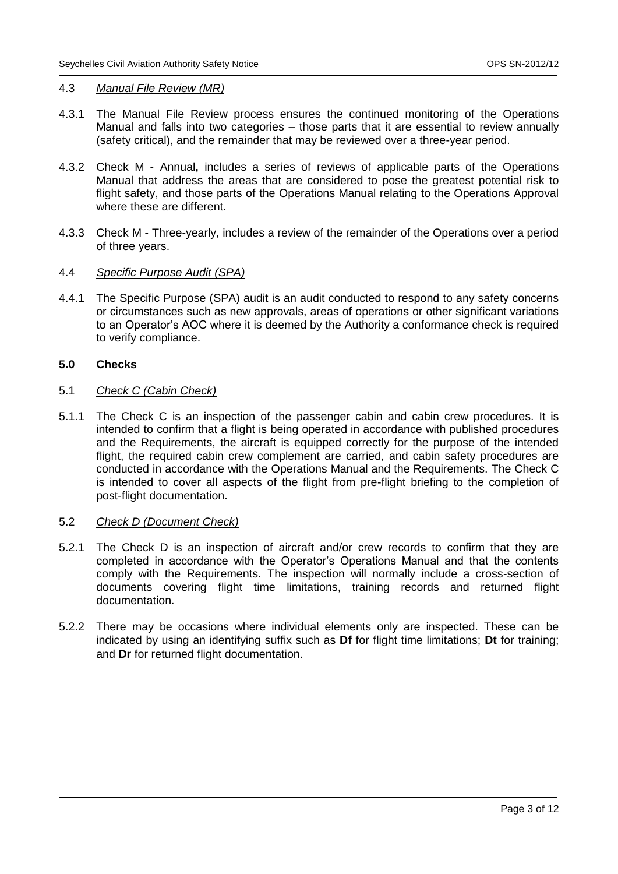#### 4.3 *Manual File Review (MR)*

- 4.3.1 The Manual File Review process ensures the continued monitoring of the Operations Manual and falls into two categories – those parts that it are essential to review annually (safety critical), and the remainder that may be reviewed over a three-year period.
- 4.3.2 Check M Annual**,** includes a series of reviews of applicable parts of the Operations Manual that address the areas that are considered to pose the greatest potential risk to flight safety, and those parts of the Operations Manual relating to the Operations Approval where these are different.
- 4.3.3 Check M Three-yearly, includes a review of the remainder of the Operations over a period of three years.

#### 4.4 *Specific Purpose Audit (SPA)*

4.4.1 The Specific Purpose (SPA) audit is an audit conducted to respond to any safety concerns or circumstances such as new approvals, areas of operations or other significant variations to an Operator's AOC where it is deemed by the Authority a conformance check is required to verify compliance.

#### **5.0 Checks**

#### 5.1 *Check C (Cabin Check)*

5.1.1 The Check C is an inspection of the passenger cabin and cabin crew procedures. It is intended to confirm that a flight is being operated in accordance with published procedures and the Requirements, the aircraft is equipped correctly for the purpose of the intended flight, the required cabin crew complement are carried, and cabin safety procedures are conducted in accordance with the Operations Manual and the Requirements. The Check C is intended to cover all aspects of the flight from pre-flight briefing to the completion of post-flight documentation.

#### 5.2 *Check D (Document Check)*

- 5.2.1 The Check D is an inspection of aircraft and/or crew records to confirm that they are completed in accordance with the Operator's Operations Manual and that the contents comply with the Requirements. The inspection will normally include a cross-section of documents covering flight time limitations, training records and returned flight documentation.
- 5.2.2 There may be occasions where individual elements only are inspected. These can be indicated by using an identifying suffix such as **Df** for flight time limitations; **Dt** for training; and **Dr** for returned flight documentation.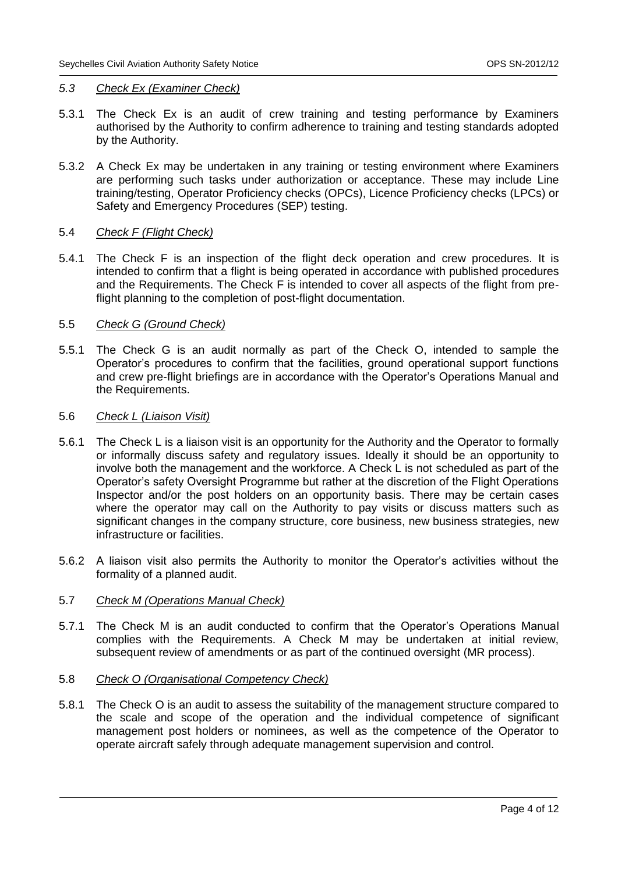#### *5.3 Check Ex (Examiner Check)*

- 5.3.1 The Check Ex is an audit of crew training and testing performance by Examiners authorised by the Authority to confirm adherence to training and testing standards adopted by the Authority.
- 5.3.2 A Check Ex may be undertaken in any training or testing environment where Examiners are performing such tasks under authorization or acceptance. These may include Line training/testing, Operator Proficiency checks (OPCs), Licence Proficiency checks (LPCs) or Safety and Emergency Procedures (SEP) testing.

#### 5.4 *Check F (Flight Check)*

5.4.1 The Check F is an inspection of the flight deck operation and crew procedures. It is intended to confirm that a flight is being operated in accordance with published procedures and the Requirements. The Check F is intended to cover all aspects of the flight from preflight planning to the completion of post-flight documentation.

## 5.5 *Check G (Ground Check)*

5.5.1 The Check G is an audit normally as part of the Check O, intended to sample the Operator's procedures to confirm that the facilities, ground operational support functions and crew pre-flight briefings are in accordance with the Operator's Operations Manual and the Requirements.

#### 5.6 *Check L (Liaison Visit)*

- 5.6.1 The Check L is a liaison visit is an opportunity for the Authority and the Operator to formally or informally discuss safety and regulatory issues. Ideally it should be an opportunity to involve both the management and the workforce. A Check L is not scheduled as part of the Operator's safety Oversight Programme but rather at the discretion of the Flight Operations Inspector and/or the post holders on an opportunity basis. There may be certain cases where the operator may call on the Authority to pay visits or discuss matters such as significant changes in the company structure, core business, new business strategies, new infrastructure or facilities.
- 5.6.2 A liaison visit also permits the Authority to monitor the Operator's activities without the formality of a planned audit.

#### 5.7 *Check M (Operations Manual Check)*

5.7.1 The Check M is an audit conducted to confirm that the Operator's Operations Manual complies with the Requirements. A Check M may be undertaken at initial review, subsequent review of amendments or as part of the continued oversight (MR process).

#### 5.8 *Check O (Organisational Competency Check)*

5.8.1 The Check O is an audit to assess the suitability of the management structure compared to the scale and scope of the operation and the individual competence of significant management post holders or nominees, as well as the competence of the Operator to operate aircraft safely through adequate management supervision and control.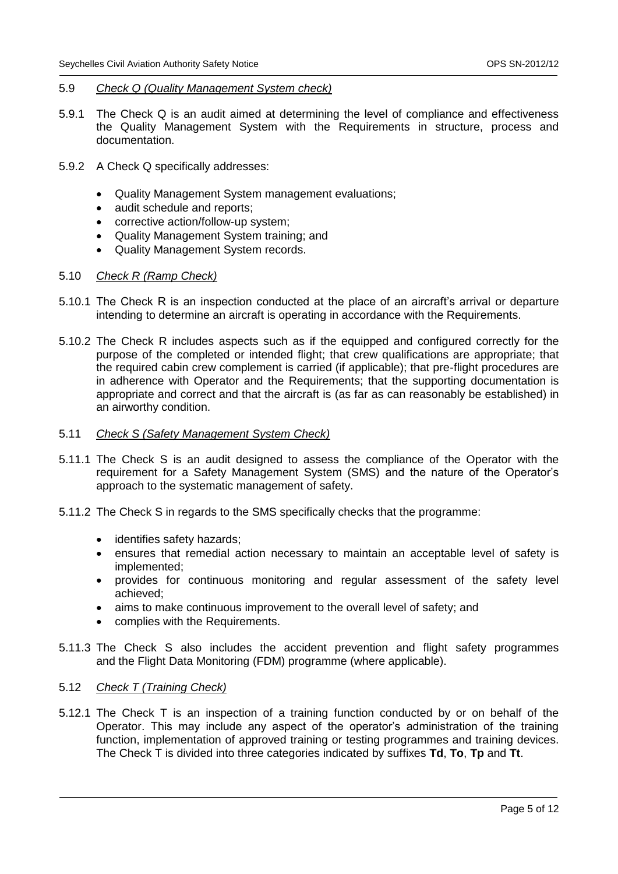#### 5.9 *Check Q (Quality Management System check)*

- 5.9.1 The Check Q is an audit aimed at determining the level of compliance and effectiveness the Quality Management System with the Requirements in structure, process and documentation.
- 5.9.2 A Check Q specifically addresses:
	- Quality Management System management evaluations;
	- audit schedule and reports;
	- corrective action/follow-up system;
	- Quality Management System training; and
	- Quality Management System records.

#### 5.10 *Check R (Ramp Check)*

- 5.10.1 The Check R is an inspection conducted at the place of an aircraft's arrival or departure intending to determine an aircraft is operating in accordance with the Requirements.
- 5.10.2 The Check R includes aspects such as if the equipped and configured correctly for the purpose of the completed or intended flight; that crew qualifications are appropriate; that the required cabin crew complement is carried (if applicable); that pre-flight procedures are in adherence with Operator and the Requirements; that the supporting documentation is appropriate and correct and that the aircraft is (as far as can reasonably be established) in an airworthy condition.
- 5.11 *Check S (Safety Management System Check)*
- 5.11.1 The Check S is an audit designed to assess the compliance of the Operator with the requirement for a Safety Management System (SMS) and the nature of the Operator's approach to the systematic management of safety.
- 5.11.2 The Check S in regards to the SMS specifically checks that the programme:
	- identifies safety hazards;
	- ensures that remedial action necessary to maintain an acceptable level of safety is implemented;
	- provides for continuous monitoring and regular assessment of the safety level achieved;
	- aims to make continuous improvement to the overall level of safety; and
	- complies with the Requirements.
- 5.11.3 The Check S also includes the accident prevention and flight safety programmes and the Flight Data Monitoring (FDM) programme (where applicable).

#### 5.12 *Check T (Training Check)*

5.12.1 The Check T is an inspection of a training function conducted by or on behalf of the Operator. This may include any aspect of the operator's administration of the training function, implementation of approved training or testing programmes and training devices. The Check T is divided into three categories indicated by suffixes **Td**, **To**, **Tp** and **Tt**.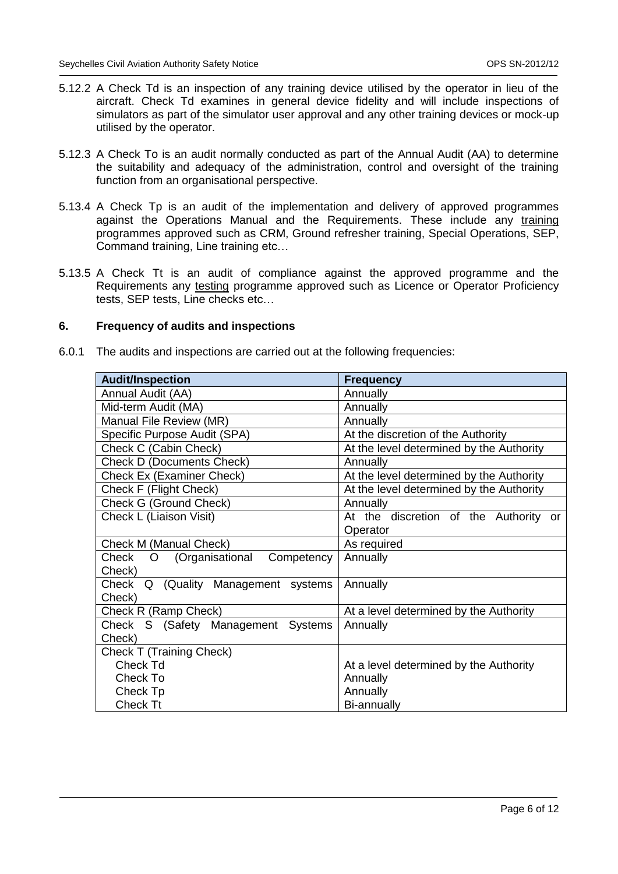- 5.12.2 A Check Td is an inspection of any training device utilised by the operator in lieu of the aircraft. Check Td examines in general device fidelity and will include inspections of simulators as part of the simulator user approval and any other training devices or mock-up utilised by the operator.
- 5.12.3 A Check To is an audit normally conducted as part of the Annual Audit (AA) to determine the suitability and adequacy of the administration, control and oversight of the training function from an organisational perspective.
- 5.13.4 A Check Tp is an audit of the implementation and delivery of approved programmes against the Operations Manual and the Requirements. These include any training programmes approved such as CRM, Ground refresher training, Special Operations, SEP, Command training, Line training etc…
- 5.13.5 A Check Tt is an audit of compliance against the approved programme and the Requirements any testing programme approved such as Licence or Operator Proficiency tests, SEP tests, Line checks etc…

# **6. Frequency of audits and inspections**

6.0.1 The audits and inspections are carried out at the following frequencies:

| <b>Audit/Inspection</b>                     | <b>Frequency</b>                         |  |  |  |  |
|---------------------------------------------|------------------------------------------|--|--|--|--|
| Annual Audit (AA)                           | Annually                                 |  |  |  |  |
| Mid-term Audit (MA)                         | Annually                                 |  |  |  |  |
| Manual File Review (MR)                     | Annually                                 |  |  |  |  |
| Specific Purpose Audit (SPA)                | At the discretion of the Authority       |  |  |  |  |
| Check C (Cabin Check)                       | At the level determined by the Authority |  |  |  |  |
| <b>Check D (Documents Check)</b>            | Annually                                 |  |  |  |  |
| Check Ex (Examiner Check)                   | At the level determined by the Authority |  |  |  |  |
| Check F (Flight Check)                      | At the level determined by the Authority |  |  |  |  |
| Check G (Ground Check)                      | Annually                                 |  |  |  |  |
| Check L (Liaison Visit)                     | At the discretion of the Authority or    |  |  |  |  |
|                                             | Operator                                 |  |  |  |  |
| Check M (Manual Check)                      | As required                              |  |  |  |  |
| Check<br>(Organisational<br>Competency<br>O | Annually                                 |  |  |  |  |
| Check)                                      |                                          |  |  |  |  |
| Check Q (Quality Management systems         | Annually                                 |  |  |  |  |
| Check)                                      |                                          |  |  |  |  |
| Check R (Ramp Check)                        | At a level determined by the Authority   |  |  |  |  |
| Check S (Safety Management Systems          | Annually                                 |  |  |  |  |
| Check)                                      |                                          |  |  |  |  |
| Check T (Training Check)                    |                                          |  |  |  |  |
| <b>Check Td</b>                             | At a level determined by the Authority   |  |  |  |  |
| Check To                                    | Annually                                 |  |  |  |  |
| Check Tp                                    | Annually                                 |  |  |  |  |
| Check Tt                                    | Bi-annually                              |  |  |  |  |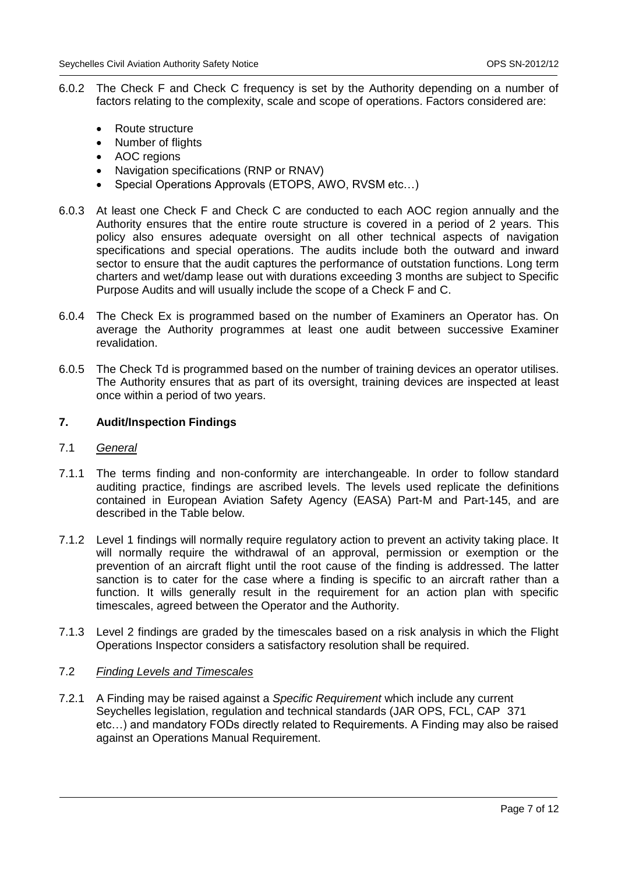- 6.0.2 The Check F and Check C frequency is set by the Authority depending on a number of factors relating to the complexity, scale and scope of operations. Factors considered are:
	- Route structure
	- Number of flights
	- AOC regions
	- Navigation specifications (RNP or RNAV)
	- Special Operations Approvals (ETOPS, AWO, RVSM etc…)
- 6.0.3 At least one Check F and Check C are conducted to each AOC region annually and the Authority ensures that the entire route structure is covered in a period of 2 years. This policy also ensures adequate oversight on all other technical aspects of navigation specifications and special operations. The audits include both the outward and inward sector to ensure that the audit captures the performance of outstation functions. Long term charters and wet/damp lease out with durations exceeding 3 months are subject to Specific Purpose Audits and will usually include the scope of a Check F and C.
- 6.0.4 The Check Ex is programmed based on the number of Examiners an Operator has. On average the Authority programmes at least one audit between successive Examiner revalidation.
- 6.0.5 The Check Td is programmed based on the number of training devices an operator utilises. The Authority ensures that as part of its oversight, training devices are inspected at least once within a period of two years.

# **7. Audit/Inspection Findings**

- 7.1 *General*
- 7.1.1 The terms finding and non-conformity are interchangeable. In order to follow standard auditing practice, findings are ascribed levels. The levels used replicate the definitions contained in European Aviation Safety Agency (EASA) Part-M and Part-145, and are described in the Table below.
- 7.1.2 Level 1 findings will normally require regulatory action to prevent an activity taking place. It will normally require the withdrawal of an approval, permission or exemption or the prevention of an aircraft flight until the root cause of the finding is addressed. The latter sanction is to cater for the case where a finding is specific to an aircraft rather than a function. It wills generally result in the requirement for an action plan with specific timescales, agreed between the Operator and the Authority.
- 7.1.3 Level 2 findings are graded by the timescales based on a risk analysis in which the Flight Operations Inspector considers a satisfactory resolution shall be required.

### 7.2 *Finding Levels and Timescales*

7.2.1 A Finding may be raised against a *Specific Requirement* which include any current Seychelles legislation, regulation and technical standards (JAR OPS, FCL, CAP 371 etc…) and mandatory FODs directly related to Requirements. A Finding may also be raised against an Operations Manual Requirement.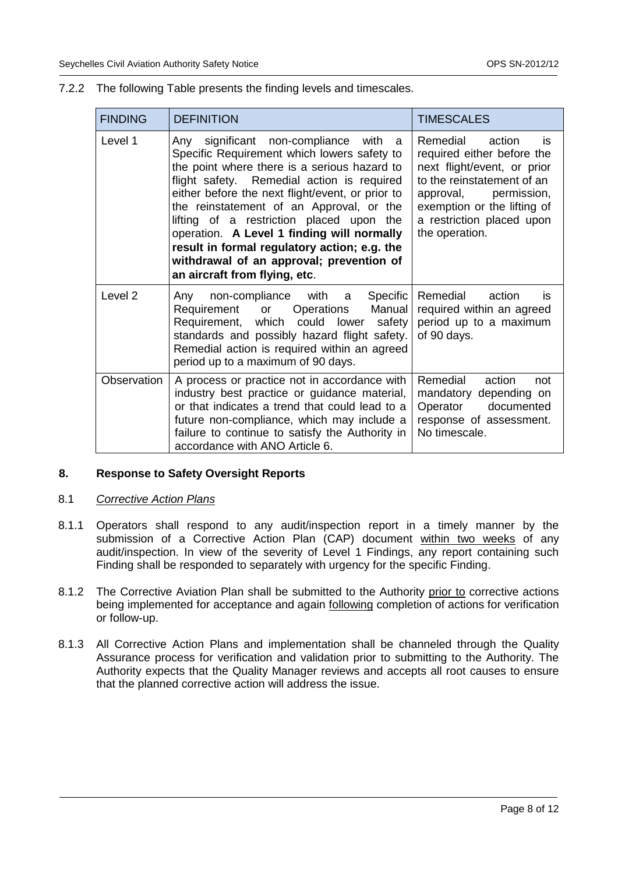| <b>FINDING</b> | <b>DEFINITION</b>                                                                                                                                                                                                                                                                                                                                                                                                                                                                                              | <b>TIMESCALES</b>                                                                                                                                                                                                          |  |
|----------------|----------------------------------------------------------------------------------------------------------------------------------------------------------------------------------------------------------------------------------------------------------------------------------------------------------------------------------------------------------------------------------------------------------------------------------------------------------------------------------------------------------------|----------------------------------------------------------------------------------------------------------------------------------------------------------------------------------------------------------------------------|--|
| Level 1        | Any significant non-compliance with<br>- a<br>Specific Requirement which lowers safety to<br>the point where there is a serious hazard to<br>flight safety. Remedial action is required<br>either before the next flight/event, or prior to<br>the reinstatement of an Approval, or the<br>lifting of a restriction placed upon the<br>operation. A Level 1 finding will normally<br>result in formal regulatory action; e.g. the<br>withdrawal of an approval; prevention of<br>an aircraft from flying, etc. | Remedial<br>action<br>is<br>required either before the<br>next flight/event, or prior<br>to the reinstatement of an<br>approval, permission,<br>exemption or the lifting of<br>a restriction placed upon<br>the operation. |  |
| Level 2        | non-compliance with a<br>Specific<br>Any<br>Manual<br>Operations<br>Requirement<br>or<br>Requirement, which could lower<br>safety<br>standards and possibly hazard flight safety.<br>Remedial action is required within an agreed<br>period up to a maximum of 90 days.                                                                                                                                                                                                                                        | Remedial<br>action<br>is<br>required within an agreed<br>period up to a maximum<br>of 90 days.                                                                                                                             |  |
| Observation    | A process or practice not in accordance with<br>industry best practice or guidance material,<br>or that indicates a trend that could lead to a<br>future non-compliance, which may include a<br>failure to continue to satisfy the Authority in<br>accordance with ANO Article 6.                                                                                                                                                                                                                              | Remedial<br>action<br>not<br>mandatory depending on<br>Operator documented<br>response of assessment.<br>No timescale.                                                                                                     |  |

# 7.2.2 The following Table presents the finding levels and timescales.

# **8. Response to Safety Oversight Reports**

#### 8.1 *Corrective Action Plans*

- 8.1.1 Operators shall respond to any audit/inspection report in a timely manner by the submission of a Corrective Action Plan (CAP) document within two weeks of any audit/inspection. In view of the severity of Level 1 Findings, any report containing such Finding shall be responded to separately with urgency for the specific Finding.
- 8.1.2 The Corrective Aviation Plan shall be submitted to the Authority prior to corrective actions being implemented for acceptance and again following completion of actions for verification or follow-up.
- 8.1.3 All Corrective Action Plans and implementation shall be channeled through the Quality Assurance process for verification and validation prior to submitting to the Authority. The Authority expects that the Quality Manager reviews and accepts all root causes to ensure that the planned corrective action will address the issue.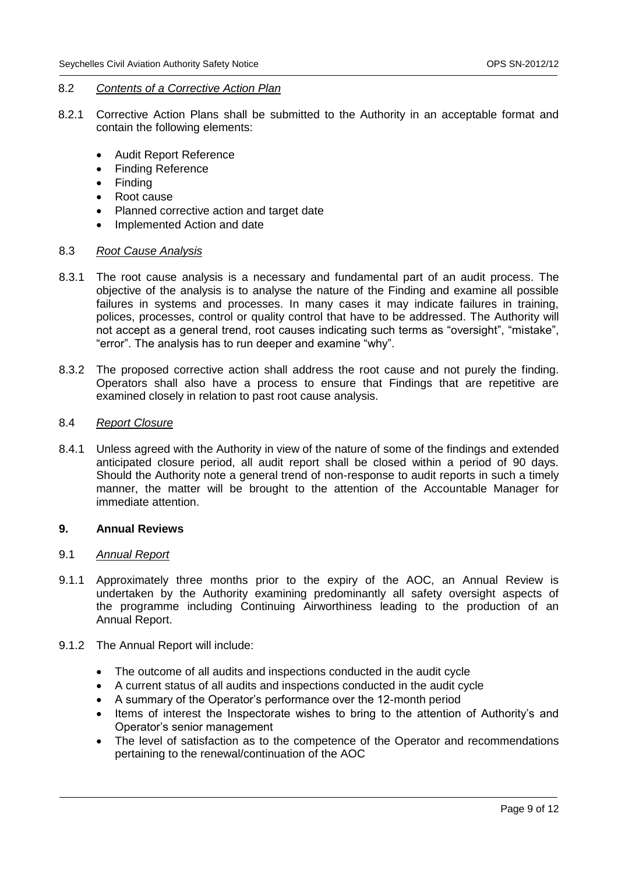#### 8.2 *Contents of a Corrective Action Plan*

- 8.2.1 Corrective Action Plans shall be submitted to the Authority in an acceptable format and contain the following elements:
	- Audit Report Reference
	- Finding Reference
	- Finding
	- Root cause
	- Planned corrective action and target date
	- Implemented Action and date

#### 8.3 *Root Cause Analysis*

- 8.3.1 The root cause analysis is a necessary and fundamental part of an audit process. The objective of the analysis is to analyse the nature of the Finding and examine all possible failures in systems and processes. In many cases it may indicate failures in training, polices, processes, control or quality control that have to be addressed. The Authority will not accept as a general trend, root causes indicating such terms as "oversight", "mistake", "error". The analysis has to run deeper and examine "why".
- 8.3.2 The proposed corrective action shall address the root cause and not purely the finding. Operators shall also have a process to ensure that Findings that are repetitive are examined closely in relation to past root cause analysis.

#### 8.4 *Report Closure*

8.4.1 Unless agreed with the Authority in view of the nature of some of the findings and extended anticipated closure period, all audit report shall be closed within a period of 90 days. Should the Authority note a general trend of non-response to audit reports in such a timely manner, the matter will be brought to the attention of the Accountable Manager for immediate attention.

# **9. Annual Reviews**

#### 9.1 *Annual Report*

- 9.1.1 Approximately three months prior to the expiry of the AOC, an Annual Review is undertaken by the Authority examining predominantly all safety oversight aspects of the programme including Continuing Airworthiness leading to the production of an Annual Report.
- 9.1.2 The Annual Report will include:
	- The outcome of all audits and inspections conducted in the audit cycle
	- A current status of all audits and inspections conducted in the audit cycle
	- A summary of the Operator's performance over the 12-month period
	- Items of interest the Inspectorate wishes to bring to the attention of Authority's and Operator's senior management
	- The level of satisfaction as to the competence of the Operator and recommendations pertaining to the renewal/continuation of the AOC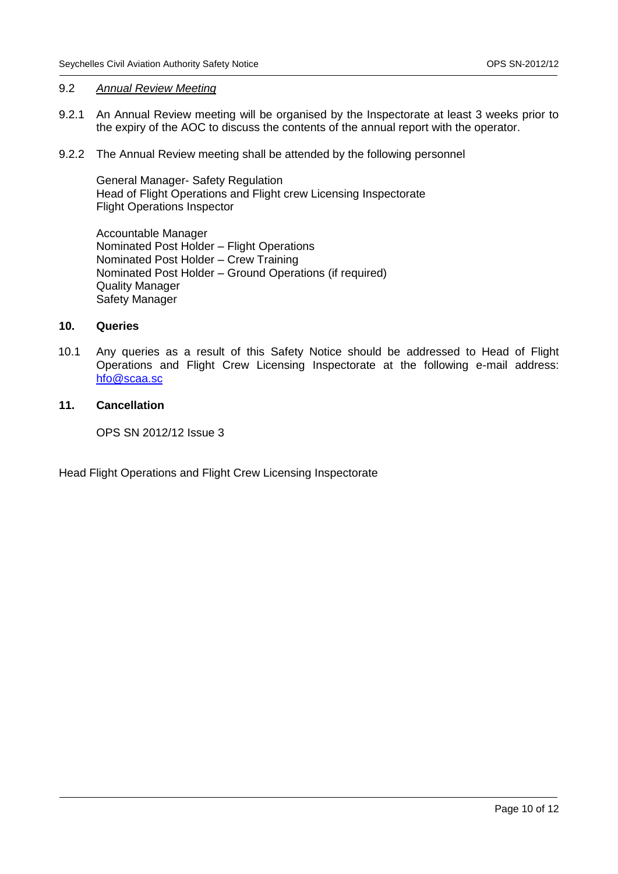### 9.2 *Annual Review Meeting*

- 9.2.1 An Annual Review meeting will be organised by the Inspectorate at least 3 weeks prior to the expiry of the AOC to discuss the contents of the annual report with the operator.
- 9.2.2 The Annual Review meeting shall be attended by the following personnel

General Manager- Safety Regulation Head of Flight Operations and Flight crew Licensing Inspectorate Flight Operations Inspector

Accountable Manager Nominated Post Holder – Flight Operations Nominated Post Holder – Crew Training Nominated Post Holder – Ground Operations (if required) Quality Manager Safety Manager

### **10. Queries**

10.1 Any queries as a result of this Safety Notice should be addressed to Head of Flight Operations and Flight Crew Licensing Inspectorate at the following e-mail address: [hfo@scaa.sc](mailto:hfo@scaa.sc)

# **11. Cancellation**

OPS SN 2012/12 Issue 3

Head Flight Operations and Flight Crew Licensing Inspectorate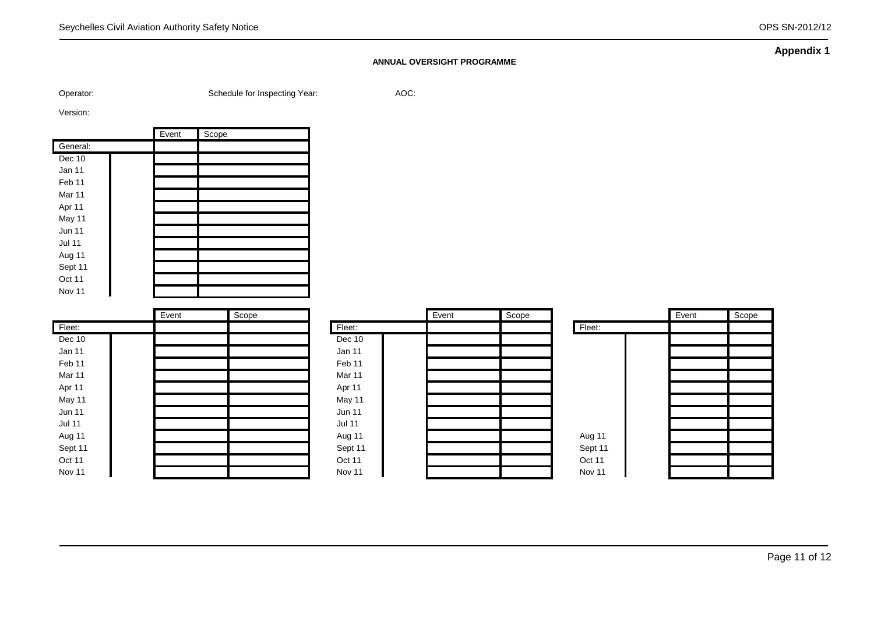#### **ANNUAL OVERSIGHT PROGRAMME**

Operator: Schedule for Inspecting Year: AOC:

Version:

|                   | Event | Scope |
|-------------------|-------|-------|
| General:          |       |       |
| Dec 10            |       |       |
| Jan 11            |       |       |
| Feb <sub>11</sub> |       |       |
| Mar 11            |       |       |
| Apr 11            |       |       |
| May 11            |       |       |
| <b>Jun 11</b>     |       |       |
| <b>Jul 11</b>     |       |       |
| Aug 11            |       |       |
| Sept 11           |       |       |
| Oct 11            |       |       |
| Nov 11            |       |       |

|               | Event | Scope |               | Event | Scope |         | Event | Scope |
|---------------|-------|-------|---------------|-------|-------|---------|-------|-------|
| Fleet:        |       |       | Fleet:        |       |       | Fleet:  |       |       |
| Dec 10        |       |       | Dec 10        |       |       |         |       |       |
| Jan 11        |       |       | Jan 11        |       |       |         |       |       |
| Feb 11        |       |       | Feb 11        |       |       |         |       |       |
| Mar 11        |       |       | Mar 11        |       |       |         |       |       |
| Apr 11        |       |       | Apr 11        |       |       |         |       |       |
| May 11        |       |       | May 11        |       |       |         |       |       |
| <b>Jun 11</b> |       |       | <b>Jun 11</b> |       |       |         |       |       |
| <b>Jul 11</b> |       |       | <b>Jul 11</b> |       |       |         |       |       |
| Aug 11        |       |       | Aug 11        |       |       | Aug 11  |       |       |
| Sept 11       |       |       | Sept 11       |       |       | Sept 11 |       |       |
| Oct 11        |       |       | Oct 11        |       |       | Oct 11  |       |       |
| Nov 11        |       |       | Nov 11        |       |       | Nov 11  |       |       |

**Appendix 1**